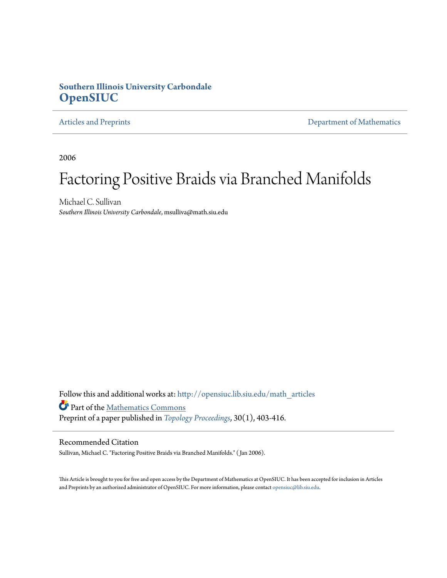# **Southern Illinois University Carbondale [OpenSIUC](http://opensiuc.lib.siu.edu?utm_source=opensiuc.lib.siu.edu%2Fmath_articles%2F87&utm_medium=PDF&utm_campaign=PDFCoverPages)**

[Articles and Preprints](http://opensiuc.lib.siu.edu/math_articles?utm_source=opensiuc.lib.siu.edu%2Fmath_articles%2F87&utm_medium=PDF&utm_campaign=PDFCoverPages) **[Department of Mathematics](http://opensiuc.lib.siu.edu/math?utm_source=opensiuc.lib.siu.edu%2Fmath_articles%2F87&utm_medium=PDF&utm_campaign=PDFCoverPages)** 

2006

# Factoring Positive Braids via Branched Manifolds

Michael C. Sullivan *Southern Illinois University Carbondale*, msulliva@math.siu.edu

Follow this and additional works at: [http://opensiuc.lib.siu.edu/math\\_articles](http://opensiuc.lib.siu.edu/math_articles?utm_source=opensiuc.lib.siu.edu%2Fmath_articles%2F87&utm_medium=PDF&utm_campaign=PDFCoverPages) Part of the [Mathematics Commons](http://network.bepress.com/hgg/discipline/174?utm_source=opensiuc.lib.siu.edu%2Fmath_articles%2F87&utm_medium=PDF&utm_campaign=PDFCoverPages) Preprint of a paper published in *[Topology Proceedings](http://topology.auburn.edu/tp/)*, 30(1), 403-416.

## Recommended Citation

Sullivan, Michael C. "Factoring Positive Braids via Branched Manifolds." ( Jan 2006).

This Article is brought to you for free and open access by the Department of Mathematics at OpenSIUC. It has been accepted for inclusion in Articles and Preprints by an authorized administrator of OpenSIUC. For more information, please contact [opensiuc@lib.siu.edu](mailto:opensiuc@lib.siu.edu).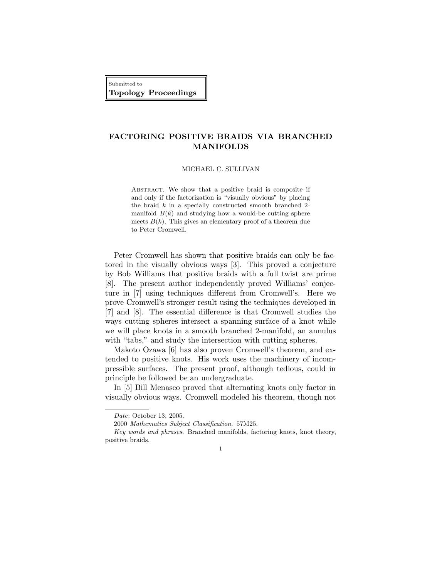Submitted to Topology Proceedings

# FACTORING POSITIVE BRAIDS VIA BRANCHED MANIFOLDS

MICHAEL C. SULLIVAN

ABSTRACT. We show that a positive braid is composite if and only if the factorization is "visually obvious" by placing the braid  $k$  in a specially constructed smooth branched 2manifold  $B(k)$  and studying how a would-be cutting sphere meets  $B(k)$ . This gives an elementary proof of a theorem due to Peter Cromwell.

Peter Cromwell has shown that positive braids can only be factored in the visually obvious ways [3]. This proved a conjecture by Bob Williams that positive braids with a full twist are prime [8]. The present author independently proved Williams' conjecture in [7] using techniques different from Cromwell's. Here we prove Cromwell's stronger result using the techniques developed in [7] and [8]. The essential difference is that Cromwell studies the ways cutting spheres intersect a spanning surface of a knot while we will place knots in a smooth branched 2-manifold, an annulus with "tabs," and study the intersection with cutting spheres.

Makoto Ozawa [6] has also proven Cromwell's theorem, and extended to positive knots. His work uses the machinery of incompressible surfaces. The present proof, although tedious, could in principle be followed be an undergraduate.

In [5] Bill Menasco proved that alternating knots only factor in visually obvious ways. Cromwell modeled his theorem, though not

Date: October 13, 2005.

<sup>2000</sup> Mathematics Subject Classification. 57M25.

Key words and phrases. Branched manifolds, factoring knots, knot theory, positive braids.

<sup>1</sup>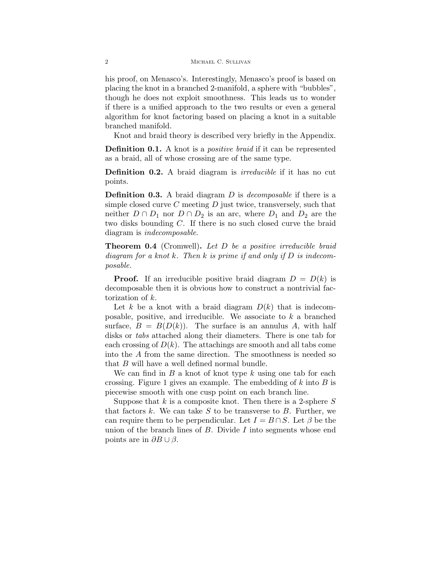his proof, on Menasco's. Interestingly, Menasco's proof is based on placing the knot in a branched 2-manifold, a sphere with "bubbles", though he does not exploit smoothness. This leads us to wonder if there is a unified approach to the two results or even a general algorithm for knot factoring based on placing a knot in a suitable branched manifold.

Knot and braid theory is described very briefly in the Appendix.

**Definition 0.1.** A knot is a *positive braid* if it can be represented as a braid, all of whose crossing are of the same type.

Definition 0.2. A braid diagram is *irreducible* if it has no cut points.

**Definition 0.3.** A braid diagram  $D$  is *decomposable* if there is a simple closed curve  $C$  meeting  $D$  just twice, transversely, such that neither  $D \cap D_1$  nor  $D \cap D_2$  is an arc, where  $D_1$  and  $D_2$  are the two disks bounding C. If there is no such closed curve the braid diagram is indecomposable.

**Theorem 0.4** (Cromwell). Let D be a positive irreducible braid diagram for a knot k. Then k is prime if and only if  $D$  is indecomposable.

**Proof.** If an irreducible positive braid diagram  $D = D(k)$  is decomposable then it is obvious how to construct a nontrivial factorization of k.

Let k be a knot with a braid diagram  $D(k)$  that is indecomposable, positive, and irreducible. We associate to  $k$  a branched surface,  $B = B(D(k))$ . The surface is an annulus A, with half disks or tabs attached along their diameters. There is one tab for each crossing of  $D(k)$ . The attachings are smooth and all tabs come into the A from the same direction. The smoothness is needed so that B will have a well defined normal bundle.

We can find in  $B$  a knot of knot type  $k$  using one tab for each crossing. Figure 1 gives an example. The embedding of  $k$  into  $B$  is piecewise smooth with one cusp point on each branch line.

Suppose that  $k$  is a composite knot. Then there is a 2-sphere  $S$ that factors  $k$ . We can take  $S$  to be transverse to  $B$ . Further, we can require them to be perpendicular. Let  $I = B \cap S$ . Let  $\beta$  be the union of the branch lines of  $B$ . Divide  $I$  into segments whose end points are in  $\partial B \cup \beta$ .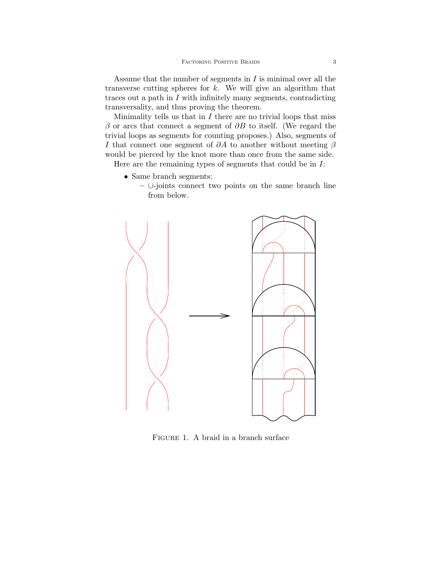Assume that the number of segments in  $I$  is minimal over all the transverse cutting spheres for  $k$ . We will give an algorithm that traces out a path in I with infinitely many segments, contradicting transversality, and thus proving the theorem.

Minimality tells us that in  $I$  there are no trivial loops that miss  $\beta$  or arcs that connect a segment of  $\partial B$  to itself. (We regard the trivial loops as segments for counting proposes.) Also, segments of I that connect one segment of  $\partial A$  to another without meeting  $\beta$ would be pierced by the knot more than once from the same side.

Here are the remaining types of segments that could be in  $I$ :

- Same branch segments:
	- ∪-joints connect two points on the same branch line from below.



FIGURE 1. A braid in a branch surface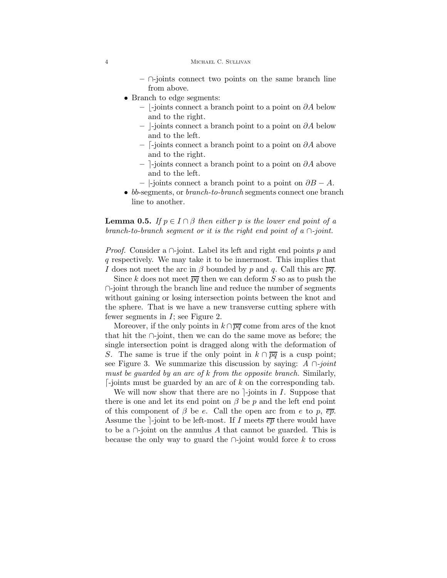- ∩-joints connect two points on the same branch line from above.
- Branch to edge segments:
	- $-$  |-joints connect a branch point to a point on ∂A below and to the right.
	- $-$  -joints connect a branch point to a point on ∂A below and to the left.
	- $\overline{\phantom{a}}$  [-joints connect a branch point to a point on ∂A above and to the right.
	- $-$ ]-joints connect a branch point to a point on ∂A above and to the left.
	- $-$  |-joints connect a branch point to a point on  $\partial B A$ .
- bb-segments, or *branch-to-branch* segments connect one branch line to another.

**Lemma 0.5.** If  $p \in I \cap \beta$  then either p is the lower end point of a branch-to-branch seqment or it is the right end point of a  $\cap$ -joint.

*Proof.* Consider a  $\cap$ -joint. Label its left and right end points p and q respectively. We may take it to be innermost. This implies that I does not meet the arc in  $\beta$  bounded by p and q. Call this arc  $\overline{pq}$ .

Since k does not meet  $\overline{pq}$  then we can deform S so as to push the ∩-joint through the branch line and reduce the number of segments without gaining or losing intersection points between the knot and the sphere. That is we have a new transverse cutting sphere with fewer segments in  $I$ ; see Figure 2.

Moreover, if the only points in  $k \cap \overline{pq}$  come from arcs of the knot that hit the ∩-joint, then we can do the same move as before; the single intersection point is dragged along with the deformation of S. The same is true if the only point in  $k \cap \overline{pq}$  is a cusp point; see Figure 3. We summarize this discussion by saying:  $A \cap joint$ must be guarded by an arc of k from the opposite branch. Similarly,  $\lceil$ -joints must be guarded by an arc of k on the corresponding tab.

We will now show that there are no  $-\frac{1}{2}$ -joints in I. Suppose that there is one and let its end point on  $\beta$  be p and the left end point of this component of  $\beta$  be e. Call the open arc from e to p,  $\overline{ep}$ . Assume the -joint to be left-most. If I meets  $\overline{ep}$  there would have to be a  $\cap$ -joint on the annulus A that cannot be guarded. This is because the only way to guard the  $\cap$ -joint would force k to cross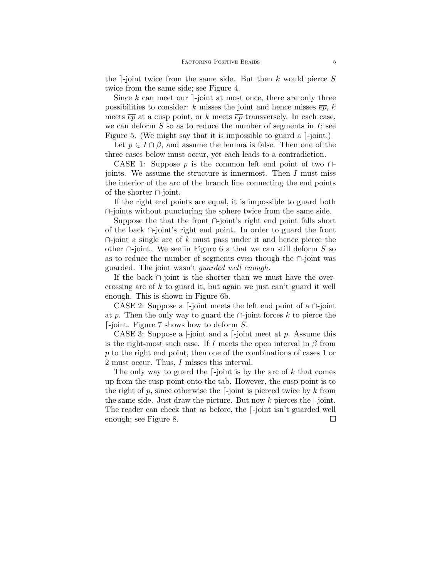the  $\lceil$ -joint twice from the same side. But then k would pierce S twice from the same side; see Figure 4.

Since k can meet our  $\lceil$ -joint at most once, there are only three possibilities to consider: k misses the joint and hence misses  $\overline{ep}$ , k meets  $\overline{ep}$  at a cusp point, or k meets  $\overline{ep}$  transversely. In each case, we can deform  $S$  so as to reduce the number of segments in  $I$ ; see Figure 5. (We might say that it is impossible to guard a  $\lceil$ -joint.)

Let  $p \in I \cap \beta$ , and assume the lemma is false. Then one of the three cases below must occur, yet each leads to a contradiction.

CASE 1: Suppose p is the common left end point of two  $\cap$ joints. We assume the structure is innermost. Then I must miss the interior of the arc of the branch line connecting the end points of the shorter ∩-joint.

If the right end points are equal, it is impossible to guard both ∩-joints without puncturing the sphere twice from the same side.

Suppose the that the front ∩-joint's right end point falls short of the back ∩-joint's right end point. In order to guard the front  $\cap$ -joint a single arc of k must pass under it and hence pierce the other ∩-joint. We see in Figure 6 a that we can still deform  $S$  so as to reduce the number of segments even though the ∩-joint was guarded. The joint wasn't guarded well enough.

If the back ∩-joint is the shorter than we must have the overcrossing arc of k to guard it, but again we just can't guard it well enough. This is shown in Figure 6b.

CASE 2: Suppose a  $\lceil$ -joint meets the left end point of a  $\cap$ -joint at p. Then the only way to guard the  $\cap$ -joint forces k to pierce the  $\lceil$ -joint. Figure 7 shows how to deform S.

CASE 3: Suppose a  $\vdash$ -joint and a  $\lnot$ -joint meet at p. Assume this is the right-most such case. If I meets the open interval in  $\beta$  from p to the right end point, then one of the combinations of cases 1 or 2 must occur. Thus, I misses this interval.

The only way to guard the  $\lceil$ -joint is by the arc of k that comes up from the cusp point onto the tab. However, the cusp point is to the right of p, since otherwise the  $\lceil$ -joint is pierced twice by k from the same side. Just draw the picture. But now  $k$  pierces the  $\vdash$ -joint. The reader can check that as before, the  $\lceil$ -joint isn't guarded well enough; see Figure 8.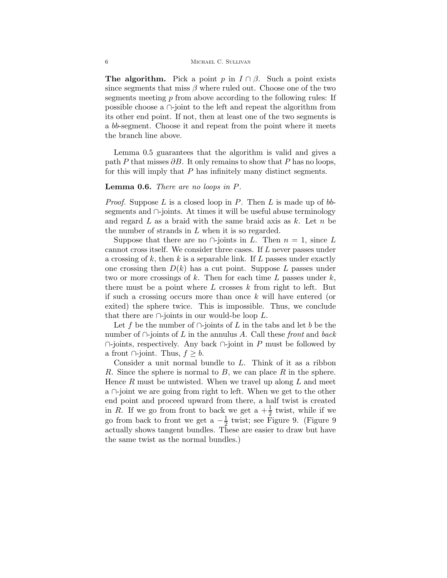**The algorithm.** Pick a point p in  $I \cap \beta$ . Such a point exists since segments that miss  $\beta$  where ruled out. Choose one of the two segments meeting p from above according to the following rules: If possible choose a ∩-joint to the left and repeat the algorithm from its other end point. If not, then at least one of the two segments is a bb-segment. Choose it and repeat from the point where it meets the branch line above.

Lemma 0.5 guarantees that the algorithm is valid and gives a path P that misses  $\partial B$ . It only remains to show that P has no loops, for this will imply that P has infinitely many distinct segments.

#### Lemma 0.6. There are no loops in P.

*Proof.* Suppose L is a closed loop in P. Then L is made up of  $bb$ segments and ∩-joints. At times it will be useful abuse terminology and regard  $L$  as a braid with the same braid axis as  $k$ . Let  $n$  be the number of strands in L when it is so regarded.

Suppose that there are no  $\cap$ -joints in L. Then  $n = 1$ , since L cannot cross itself. We consider three cases. If L never passes under a crossing of  $k$ , then  $k$  is a separable link. If  $L$  passes under exactly one crossing then  $D(k)$  has a cut point. Suppose L passes under two or more crossings of k. Then for each time L passes under  $k$ , there must be a point where  $L$  crosses  $k$  from right to left. But if such a crossing occurs more than once k will have entered (or exited) the sphere twice. This is impossible. Thus, we conclude that there are  $\cap$ -joints in our would-be loop L.

Let f be the number of  $\cap$ -joints of L in the tabs and let b be the number of  $\cap$ -joints of L in the annulus A. Call these front and back  $\cap$ -joints, respectively. Any back  $\cap$ -joint in P must be followed by a front  $\cap$ -joint. Thus,  $f \geq b$ .

Consider a unit normal bundle to L. Think of it as a ribbon R. Since the sphere is normal to  $B$ , we can place  $R$  in the sphere. Hence  $R$  must be untwisted. When we travel up along  $L$  and meet a ∩-joint we are going from right to left. When we get to the other end point and proceed upward from there, a half twist is created in R. If we go from front to back we get  $a + \frac{1}{2}$  $\frac{1}{2}$  twist, while if we go from back to front we get a  $-\frac{1}{2}$  $\frac{1}{2}$  twist; see Figure 9. (Figure 9) actually shows tangent bundles. These are easier to draw but have the same twist as the normal bundles.)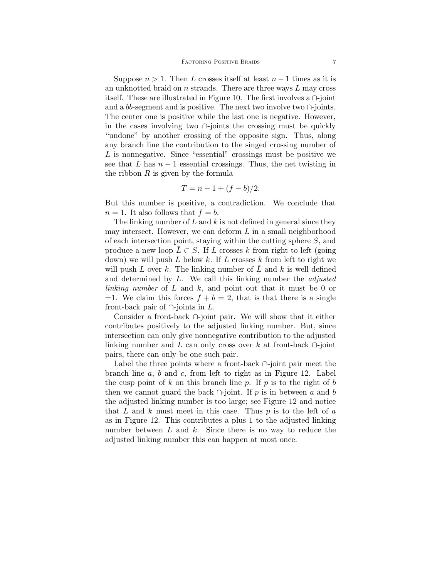Suppose  $n > 1$ . Then L crosses itself at least  $n - 1$  times as it is an unknotted braid on  $n$  strands. There are three ways  $L$  may cross itself. These are illustrated in Figure 10. The first involves a ∩-joint and a bb-segment and is positive. The next two involve two  $\cap$ -joints. The center one is positive while the last one is negative. However, in the cases involving two ∩-joints the crossing must be quickly "undone" by another crossing of the opposite sign. Thus, along any branch line the contribution to the singed crossing number of L is nonnegative. Since "essential" crossings must be positive we see that L has  $n-1$  essential crossings. Thus, the net twisting in the ribbon  $R$  is given by the formula

$$
T = n - 1 + (f - b)/2.
$$

But this number is positive, a contradiction. We conclude that  $n = 1$ . It also follows that  $f = b$ .

The linking number of  $L$  and  $k$  is not defined in general since they may intersect. However, we can deform  $L$  in a small neighborhood of each intersection point, staying within the cutting sphere S, and produce a new loop  $L \subset S$ . If L crosses k from right to left (going down) we will push L below k. If L crosses k from left to right we will push L over k. The linking number of L and k is well defined and determined by  $L$ . We call this linking number the *adjusted* linking number of  $L$  and  $k$ , and point out that it must be 0 or  $\pm 1$ . We claim this forces  $f + b = 2$ , that is that there is a single front-back pair of  $\cap$ -joints in L.

Consider a front-back ∩-joint pair. We will show that it either contributes positively to the adjusted linking number. But, since intersection can only give nonnegative contribution to the adjusted linking number and L can only cross over k at front-back  $\cap$ -joint pairs, there can only be one such pair.

Label the three points where a front-back ∩-joint pair meet the branch line a, b and c, from left to right as in Figure 12. Label the cusp point of k on this branch line p. If p is to the right of b then we cannot guard the back  $\cap$ -joint. If p is in between a and b the adjusted linking number is too large; see Figure 12 and notice that  $L$  and  $k$  must meet in this case. Thus  $p$  is to the left of  $a$ as in Figure 12. This contributes a plus 1 to the adjusted linking number between  $L$  and  $k$ . Since there is no way to reduce the adjusted linking number this can happen at most once.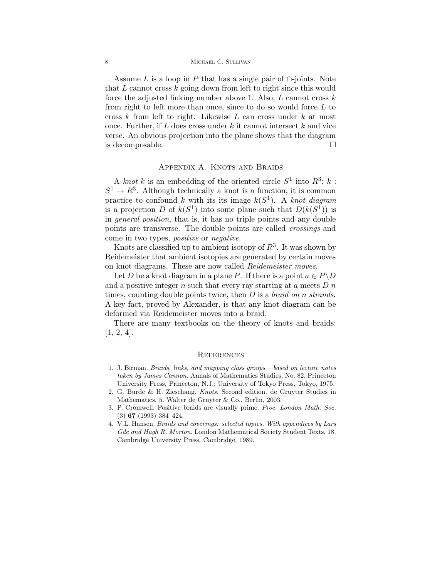Assume L is a loop in P that has a single pair of  $\cap$ -joints. Note that  $L$  cannot cross  $k$  going down from left to right since this would force the adjusted linking number above 1. Also,  $L$  cannot cross  $k$ from right to left more than once, since to do so would force  $L$  to cross  $k$  from left to right. Likewise  $L$  can cross under  $k$  at most once. Further, if  $L$  does cross under  $k$  it cannot intersect  $k$  and vice verse. An obvious projection into the plane shows that the diagram is decomposable.

### APPENDIX A. KNOTS AND BRAIDS

A knot k is an embedding of the oriented circle  $S^1$  into  $R^3$ ; k:  $S^1 \to R^3$ . Although technically a knot is a function, it is common practice to confound k with its its image  $k(S^1)$ . A knot diagram is a projection D of  $k(S^1)$  into some plane such that  $D(k(S^1))$  is in general position, that is, it has no triple points and any double points are transverse. The double points are called crossings and come in two types, positive or negative.

Knots are classified up to ambient isotopy of  $\mathbb{R}^3$ . It was shown by Reidemeister that ambient isotopies are generated by certain moves on knot diagrams. These are now called Reidemeister moves.

Let D be a knot diagram in a plane P. If there is a point  $a \in P \backslash D$ and a positive integer  $n$  such that every ray starting at  $a$  meets  $D n$ times, counting double points twice, then  $D$  is a *braid on n strands*. A key fact, proved by Alexander, is that any knot diagram can be deformed via Reidemeister moves into a braid.

There are many textbooks on the theory of knots and braids: [1, 2, 4].

#### **REFERENCES**

- 1. J. Birman. Braids, links, and mapping class groups based on lecture notes taken by James Cannon. Annals of Mathematics Studies, No. 82. Princeton University Press, Princeton, N.J.; University of Tokyo Press, Tokyo, 1975.
- 2. G. Burde & H. Zieschang. Knots. Second edition. de Gruyter Studies in Mathematics, 5. Walter de Gruyter & Co., Berlin, 2003.
- 3. P. Cromwell. Positive braids are visually prime. Proc. London Math. Soc. (3) 67 (1993) 384–424.
- 4. V.L. Hansen. Braids and coverings: selected topics. With appendices by Lars Gde and Hugh R. Morton. London Mathematical Society Student Texts, 18. Cambridge University Press, Cambridge, 1989.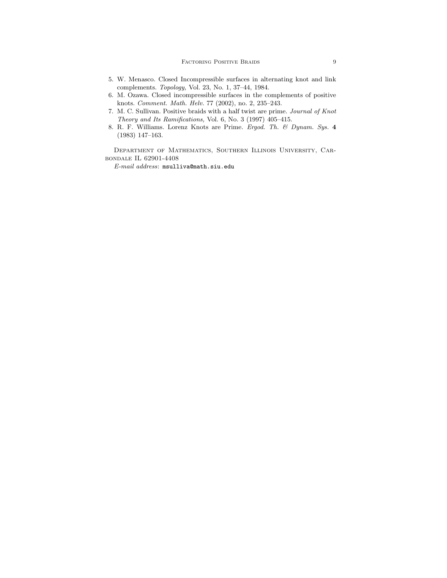- 5. W. Menasco. Closed Incompressible surfaces in alternating knot and link complements. Topology, Vol. 23, No. 1, 37–44, 1984.
- 6. M. Ozawa. Closed incompressible surfaces in the complements of positive knots. Comment. Math. Helv. 77 (2002), no. 2, 235–243.
- 7. M. C. Sullivan. Positive braids with a half twist are prime. Journal of Knot Theory and Its Ramifications, Vol. 6, No. 3 (1997) 405–415.
- 8. R. F. Williams. Lorenz Knots are Prime. Ergod. Th. & Dynam. Sys. 4 (1983) 147–163.

Department of Mathematics, Southern Illinois University, Carbondale IL 62901-4408

 $\it E\mbox{-}mail\;address\mbox{:}\;msulliva@math.siu.edu$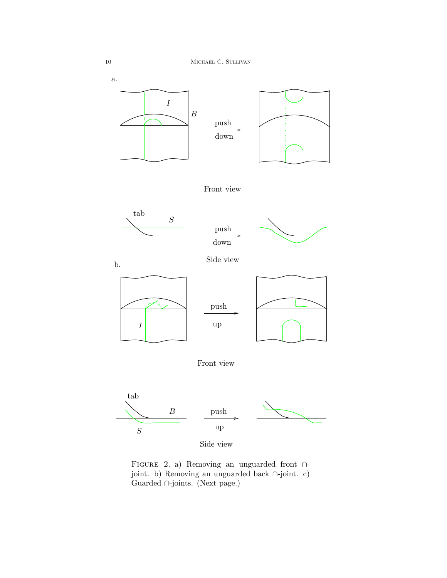

Figure 2. a) Removing an unguarded front ∩ joint. b) Removing an unguarded back ∩-joint. c) Guarded ∩-joints. (Next page.)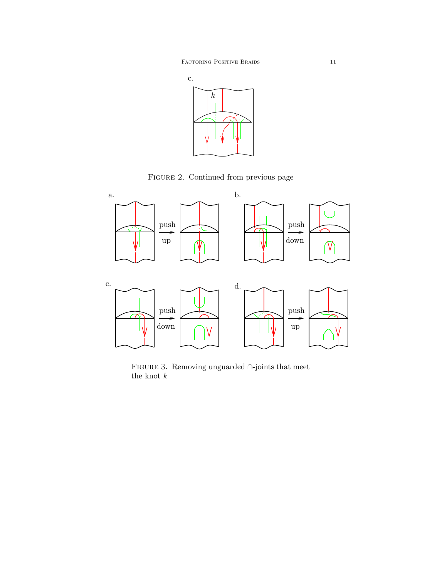FACTORING POSITIVE BRAIDS 11



Figure 2. Continued from previous page



PSfrag replacements.



Figure 3. Removing unguarded ∩-joints that meet the knot  $\boldsymbol{k}$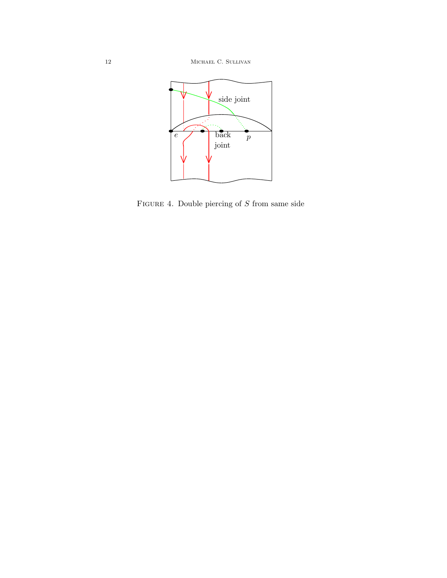

FIGURE 4. Double piercing of  $S$  from same side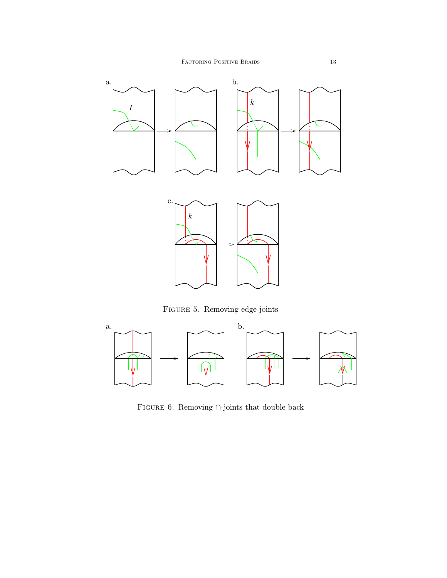

Figure 5. Removing edge-joints



FIGURE 6. Removing  $\cap\text{-joints}$  that double back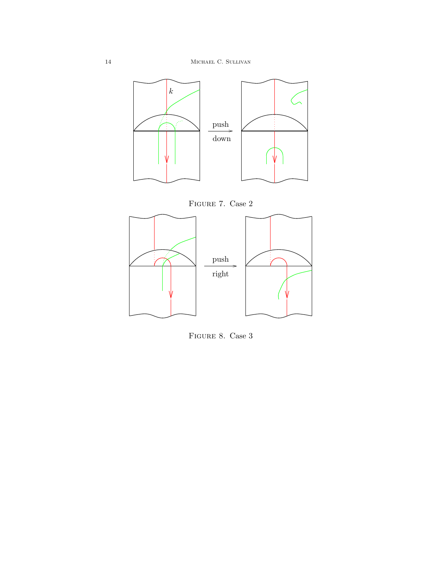

FIGURE 7. Case 2



FIGURE 8. Case 3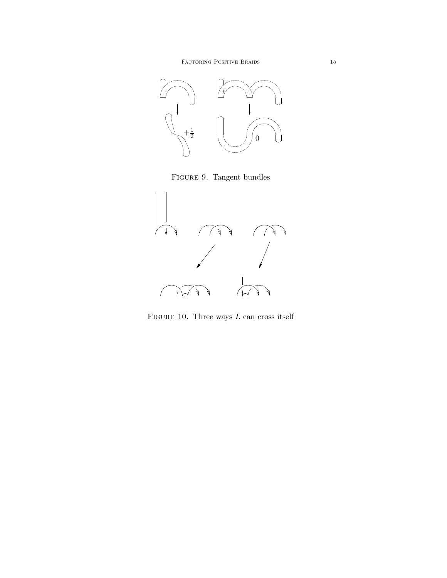

Figure 9. Tangent bundles



FIGURE 10. Three ways  $L$  can cross itself